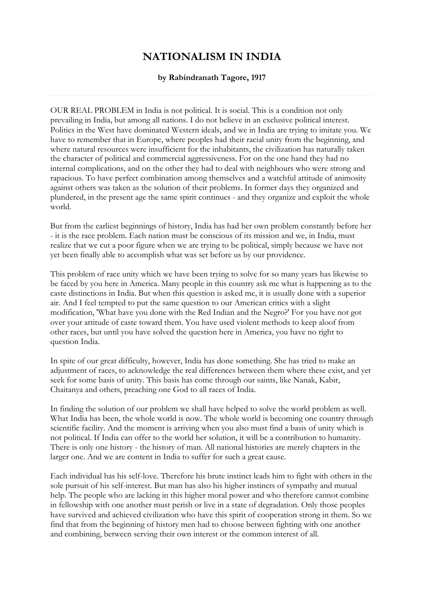## **NATIONALISM IN INDIA**

## **by Rabindranath Tagore, 1917**

OUR REAL PROBLEM in India is not political. It is social. This is a condition not only prevailing in India, but among all nations. I do not believe in an exclusive political interest. Politics in the West have dominated Western ideals, and we in India are trying to imitate you. We have to remember that in Europe, where peoples had their racial unity from the beginning, and where natural resources were insufficient for the inhabitants, the civilization has naturally taken the character of political and commercial aggressiveness. For on the one hand they had no internal complications, and on the other they had to deal with neighbours who were strong and rapacious. To have perfect combination among themselves and a watchful attitude of animosity against others was taken as the solution of their problems. In former days they organized and plundered, in the present age the same spirit continues - and they organize and exploit the whole world.

But from the earliest beginnings of history, India has had her own problem constantly before her - it is the race problem. Each nation must be conscious of its mission and we, in India, must realize that we cut a poor figure when we are trying to be political, simply because we have not yet been finally able to accomplish what was set before us by our providence.

This problem of race unity which we have been trying to solve for so many years has likewise to be faced by you here in America. Many people in this country ask me what is happening as to the caste distinctions in India. But when this question is asked me, it is usually done with a superior air. And I feel tempted to put the same question to our American critics with a slight modification, 'What have you done with the Red Indian and the Negro?' For you have not got over your attitude of caste toward them. You have used violent methods to keep aloof from other races, but until you have solved the question here in America, you have no right to question India.

In spite of our great difficulty, however, India has done something. She has tried to make an adjustment of races, to acknowledge the real differences between them where these exist, and yet seek for some basis of unity. This basis has come through our saints, like Nanak, Kabir, Chaitanya and others, preaching one God to all races of India.

In finding the solution of our problem we shall have helped to solve the world problem as well. What India has been, the whole world is now. The whole world is becoming one country through scientific facility. And the moment is arriving when you also must find a basis of unity which is not political. If India can offer to the world her solution, it will be a contribution to humanity. There is only one history - the history of man. All national histories are merely chapters in the larger one. And we are content in India to suffer for such a great cause.

Each individual has his self-love. Therefore his brute instinct leads him to fight with others in the sole pursuit of his self-interest. But man has also his higher instincts of sympathy and mutual help. The people who are lacking in this higher moral power and who therefore cannot combine in fellowship with one another must perish or live in a state of degradation. Only those peoples have survived and achieved civilization who have this spirit of cooperation strong in them. So we find that from the beginning of history men had to choose between fighting with one another and combining, between serving their own interest or the common interest of all.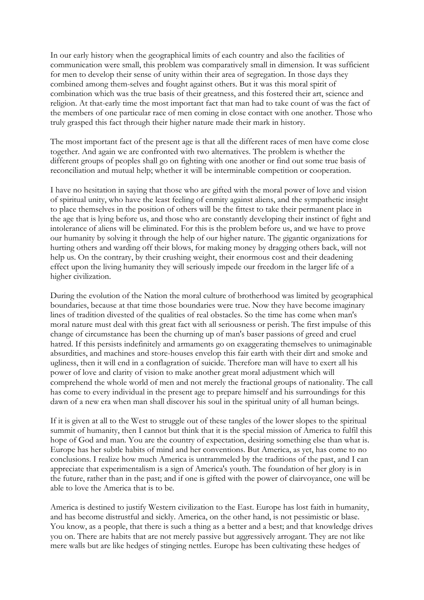In our early history when the geographical limits of each country and also the facilities of communication were small, this problem was comparatively small in dimension. It was sufficient for men to develop their sense of unity within their area of segregation. In those days they combined among them-selves and fought against others. But it was this moral spirit of combination which was the true basis of their greatness, and this fostered their art, science and religion. At that-early time the most important fact that man had to take count of was the fact of the members of one particular race of men coming in close contact with one another. Those who truly grasped this fact through their higher nature made their mark in history.

The most important fact of the present age is that all the different races of men have come close together. And again we are confronted with two alternatives. The problem is whether the different groups of peoples shall go on fighting with one another or find out some true basis of reconciliation and mutual help; whether it will be interminable competition or cooperation.

I have no hesitation in saying that those who are gifted with the moral power of love and vision of spiritual unity, who have the least feeling of enmity against aliens, and the sympathetic insight to place themselves in the position of others will be the fittest to take their permanent place in the age that is lying before us, and those who are constantly developing their instinct of fight and intolerance of aliens will be eliminated. For this is the problem before us, and we have to prove our humanity by solving it through the help of our higher nature. The gigantic organizations for hurting others and warding off their blows, for making money by dragging others back, will not help us. On the contrary, by their crushing weight, their enormous cost and their deadening effect upon the living humanity they will seriously impede our freedom in the larger life of a higher civilization.

During the evolution of the Nation the moral culture of brotherhood was limited by geographical boundaries, because at that time those boundaries were true. Now they have become imaginary lines of tradition divested of the qualities of real obstacles. So the time has come when man's moral nature must deal with this great fact with all seriousness or perish. The first impulse of this change of circumstance has been the churning up of man's baser passions of greed and cruel hatred. If this persists indefinitely and armaments go on exaggerating themselves to unimaginable absurdities, and machines and store-houses envelop this fair earth with their dirt and smoke and ugliness, then it will end in a conflagration of suicide. Therefore man will have to exert all his power of love and clarity of vision to make another great moral adjustment which will comprehend the whole world of men and not merely the fractional groups of nationality. The call has come to every individual in the present age to prepare himself and his surroundings for this dawn of a new era when man shall discover his soul in the spiritual unity of all human beings.

If it is given at all to the West to struggle out of these tangles of the lower slopes to the spiritual summit of humanity, then I cannot but think that it is the special mission of America to fulfil this hope of God and man. You are the country of expectation, desiring something else than what is. Europe has her subtle habits of mind and her conventions. But America, as yet, has come to no conclusions. I realize how much America is untrammeled by the traditions of the past, and I can appreciate that experimentalism is a sign of America's youth. The foundation of her glory is in the future, rather than in the past; and if one is gifted with the power of clairvoyance, one will be able to love the America that is to be.

America is destined to justify Western civilization to the East. Europe has lost faith in humanity, and has become distrustful and sickly. America, on the other hand, is not pessimistic or blase. You know, as a people, that there is such a thing as a better and a best; and that knowledge drives you on. There are habits that are not merely passive but aggressively arrogant. They are not like mere walls but are like hedges of stinging nettles. Europe has been cultivating these hedges of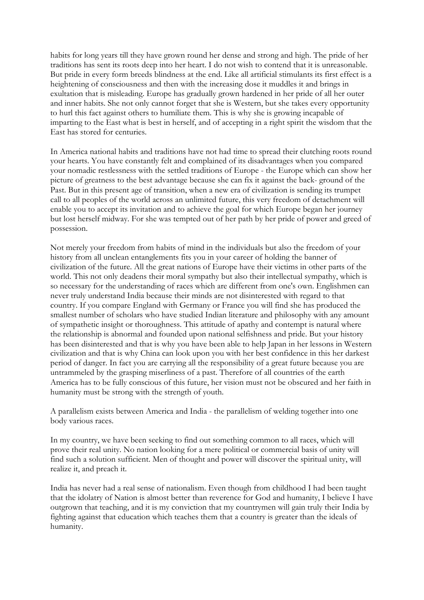habits for long years till they have grown round her dense and strong and high. The pride of her traditions has sent its roots deep into her heart. I do not wish to contend that it is unreasonable. But pride in every form breeds blindness at the end. Like all artificial stimulants its first effect is a heightening of consciousness and then with the increasing dose it muddles it and brings in exultation that is misleading. Europe has gradually grown hardened in her pride of all her outer and inner habits. She not only cannot forget that she is Western, but she takes every opportunity to hurl this fact against others to humiliate them. This is why she is growing incapable of imparting to the East what is best in herself, and of accepting in a right spirit the wisdom that the East has stored for centuries.

In America national habits and traditions have not had time to spread their clutching roots round your hearts. You have constantly felt and complained of its disadvantages when you compared your nomadic restlessness with the settled traditions of Europe - the Europe which can show her picture of greatness to the best advantage because she can fix it against the back- ground of the Past. But in this present age of transition, when a new era of civilization is sending its trumpet call to all peoples of the world across an unlimited future, this very freedom of detachment will enable you to accept its invitation and to achieve the goal for which Europe began her journey but lost herself midway. For she was tempted out of her path by her pride of power and greed of possession.

Not merely your freedom from habits of mind in the individuals but also the freedom of your history from all unclean entanglements fits you in your career of holding the banner of civilization of the future. All the great nations of Europe have their victims in other parts of the world. This not only deadens their moral sympathy but also their intellectual sympathy, which is so necessary for the understanding of races which are different from one's own. Englishmen can never truly understand India because their minds are not disinterested with regard to that country. If you compare England with Germany or France you will find she has produced the smallest number of scholars who have studied Indian literature and philosophy with any amount of sympathetic insight or thoroughness. This attitude of apathy and contempt is natural where the relationship is abnormal and founded upon national selfishness and pride. But your history has been disinterested and that is why you have been able to help Japan in her lessons in Western civilization and that is why China can look upon you with her best confidence in this her darkest period of danger. In fact you are carrying all the responsibility of a great future because you are untrammeled by the grasping miserliness of a past. Therefore of all countries of the earth America has to be fully conscious of this future, her vision must not be obscured and her faith in humanity must be strong with the strength of youth.

A parallelism exists between America and India - the parallelism of welding together into one body various races.

In my country, we have been seeking to find out something common to all races, which will prove their real unity. No nation looking for a mere political or commercial basis of unity will find such a solution sufficient. Men of thought and power will discover the spiritual unity, will realize it, and preach it.

India has never had a real sense of nationalism. Even though from childhood I had been taught that the idolatry of Nation is almost better than reverence for God and humanity, I believe I have outgrown that teaching, and it is my conviction that my countrymen will gain truly their India by fighting against that education which teaches them that a country is greater than the ideals of humanity.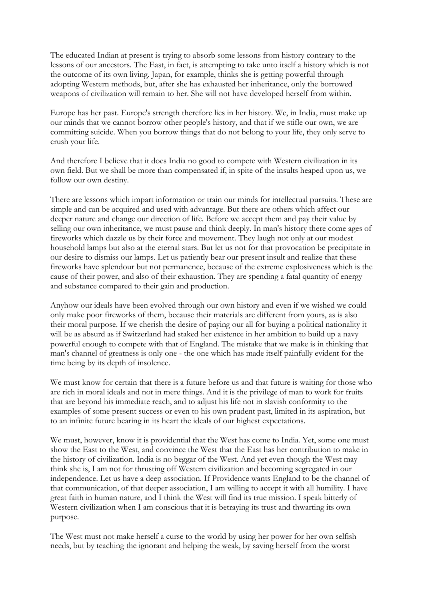The educated Indian at present is trying to absorb some lessons from history contrary to the lessons of our ancestors. The East, in fact, is attempting to take unto itself a history which is not the outcome of its own living. Japan, for example, thinks she is getting powerful through adopting Western methods, but, after she has exhausted her inheritance, only the borrowed weapons of civilization will remain to her. She will not have developed herself from within.

Europe has her past. Europe's strength therefore lies in her history. We, in India, must make up our minds that we cannot borrow other people's history, and that if we stifle our own, we are committing suicide. When you borrow things that do not belong to your life, they only serve to crush your life.

And therefore I believe that it does India no good to compete with Western civilization in its own field. But we shall be more than compensated if, in spite of the insults heaped upon us, we follow our own destiny.

There are lessons which impart information or train our minds for intellectual pursuits. These are simple and can be acquired and used with advantage. But there are others which affect our deeper nature and change our direction of life. Before we accept them and pay their value by selling our own inheritance, we must pause and think deeply. In man's history there come ages of fireworks which dazzle us by their force and movement. They laugh not only at our modest household lamps but also at the eternal stars. But let us not for that provocation be precipitate in our desire to dismiss our lamps. Let us patiently bear our present insult and realize that these fireworks have splendour but not permanence, because of the extreme explosiveness which is the cause of their power, and also of their exhaustion. They are spending a fatal quantity of energy and substance compared to their gain and production.

Anyhow our ideals have been evolved through our own history and even if we wished we could only make poor fireworks of them, because their materials are different from yours, as is also their moral purpose. If we cherish the desire of paying our all for buying a political nationality it will be as absurd as if Switzerland had staked her existence in her ambition to build up a navy powerful enough to compete with that of England. The mistake that we make is in thinking that man's channel of greatness is only one - the one which has made itself painfully evident for the time being by its depth of insolence.

We must know for certain that there is a future before us and that future is waiting for those who are rich in moral ideals and not in mere things. And it is the privilege of man to work for fruits that are beyond his immediate reach, and to adjust his life not in slavish conformity to the examples of some present success or even to his own prudent past, limited in its aspiration, but to an infinite future bearing in its heart the ideals of our highest expectations.

We must, however, know it is providential that the West has come to India. Yet, some one must show the East to the West, and convince the West that the East has her contribution to make in the history of civilization. India is no beggar of the West. And yet even though the West may think she is, I am not for thrusting off Western civilization and becoming segregated in our independence. Let us have a deep association. If Providence wants England to be the channel of that communication, of that deeper association, I am willing to accept it with all humility. I have great faith in human nature, and I think the West will find its true mission. I speak bitterly of Western civilization when I am conscious that it is betraying its trust and thwarting its own purpose.

The West must not make herself a curse to the world by using her power for her own selfish needs, but by teaching the ignorant and helping the weak, by saving herself from the worst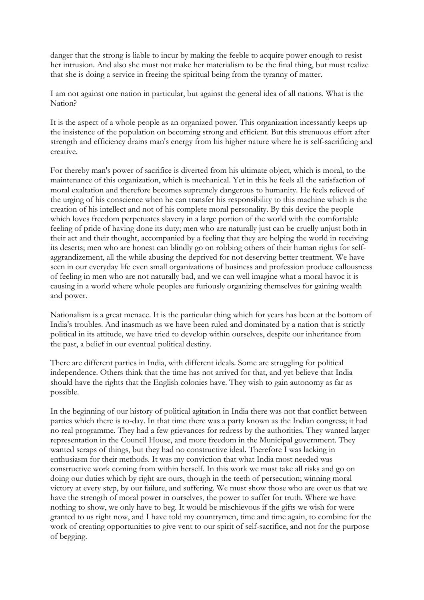danger that the strong is liable to incur by making the feeble to acquire power enough to resist her intrusion. And also she must not make her materialism to be the final thing, but must realize that she is doing a service in freeing the spiritual being from the tyranny of matter.

I am not against one nation in particular, but against the general idea of all nations. What is the Nation?

It is the aspect of a whole people as an organized power. This organization incessantly keeps up the insistence of the population on becoming strong and efficient. But this strenuous effort after strength and efficiency drains man's energy from his higher nature where he is self-sacrificing and creative.

For thereby man's power of sacrifice is diverted from his ultimate object, which is moral, to the maintenance of this organization, which is mechanical. Yet in this he feels all the satisfaction of moral exaltation and therefore becomes supremely dangerous to humanity. He feels relieved of the urging of his conscience when he can transfer his responsibility to this machine which is the creation of his intellect and not of his complete moral personality. By this device the people which loves freedom perpetuates slavery in a large portion of the world with the comfortable feeling of pride of having done its duty; men who are naturally just can be cruelly unjust both in their act and their thought, accompanied by a feeling that they are helping the world in receiving its deserts; men who are honest can blindly go on robbing others of their human rights for selfaggrandizement, all the while abusing the deprived for not deserving better treatment. We have seen in our everyday life even small organizations of business and profession produce callousness of feeling in men who are not naturally bad, and we can well imagine what a moral havoc it is causing in a world where whole peoples are furiously organizing themselves for gaining wealth and power.

Nationalism is a great menace. It is the particular thing which for years has been at the bottom of India's troubles. And inasmuch as we have been ruled and dominated by a nation that is strictly political in its attitude, we have tried to develop within ourselves, despite our inheritance from the past, a belief in our eventual political destiny.

There are different parties in India, with different ideals. Some are struggling for political independence. Others think that the time has not arrived for that, and yet believe that India should have the rights that the English colonies have. They wish to gain autonomy as far as possible.

In the beginning of our history of political agitation in India there was not that conflict between parties which there is to-day. In that time there was a party known as the Indian congress; it had no real programme. They had a few grievances for redress by the authorities. They wanted larger representation in the Council House, and more freedom in the Municipal government. They wanted scraps of things, but they had no constructive ideal. Therefore I was lacking in enthusiasm for their methods. It was my conviction that what India most needed was constructive work coming from within herself. In this work we must take all risks and go on doing our duties which by right are ours, though in the teeth of persecution; winning moral victory at every step, by our failure, and suffering. We must show those who are over us that we have the strength of moral power in ourselves, the power to suffer for truth. Where we have nothing to show, we only have to beg. It would be mischievous if the gifts we wish for were granted to us right now, and I have told my countrymen, time and time again, to combine for the work of creating opportunities to give vent to our spirit of self-sacrifice, and not for the purpose of begging.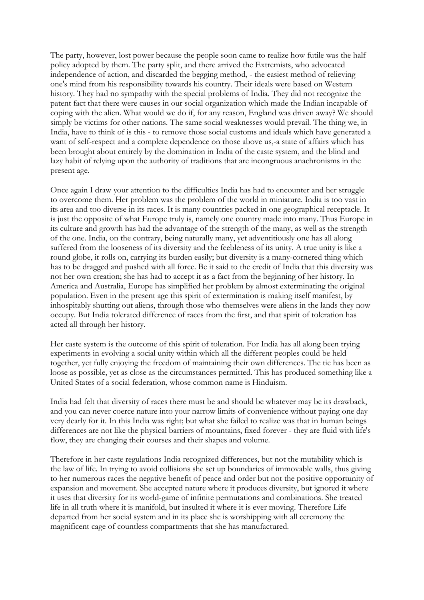The party, however, lost power because the people soon came to realize how futile was the half policy adopted by them. The party split, and there arrived the Extremists, who advocated independence of action, and discarded the begging method, - the easiest method of relieving one's mind from his responsibility towards his country. Their ideals were based on Western history. They had no sympathy with the special problems of India. They did not recognize the patent fact that there were causes in our social organization which made the Indian incapable of coping with the alien. What would we do if, for any reason, England was driven away? We should simply be victims for other nations. The same social weaknesses would prevail. The thing we, in India, have to think of is this - to remove those social customs and ideals which have generated a want of self-respect and a complete dependence on those above us,-a state of affairs which has been brought about entirely by the domination in India of the caste system, and the blind and lazy habit of relying upon the authority of traditions that are incongruous anachronisms in the present age.

Once again I draw your attention to the difficulties India has had to encounter and her struggle to overcome them. Her problem was the problem of the world in miniature. India is too vast in its area and too diverse in its races. It is many countries packed in one geographical receptacle. It is just the opposite of what Europe truly is, namely one country made into many. Thus Europe in its culture and growth has had the advantage of the strength of the many, as well as the strength of the one. India, on the contrary, being naturally many, yet adventitiously one has all along suffered from the looseness of its diversity and the feebleness of its unity. A true unity is like a round globe, it rolls on, carrying its burden easily; but diversity is a many-cornered thing which has to be dragged and pushed with all force. Be it said to the credit of India that this diversity was not her own creation; she has had to accept it as a fact from the beginning of her history. In America and Australia, Europe has simplified her problem by almost exterminating the original population. Even in the present age this spirit of extermination is making itself manifest, by inhospitably shutting out aliens, through those who themselves were aliens in the lands they now occupy. But India tolerated difference of races from the first, and that spirit of toleration has acted all through her history.

Her caste system is the outcome of this spirit of toleration. For India has all along been trying experiments in evolving a social unity within which all the different peoples could be held together, yet fully enjoying the freedom of maintaining their own differences. The tie has been as loose as possible, yet as close as the circumstances permitted. This has produced something like a United States of a social federation, whose common name is Hinduism.

India had felt that diversity of races there must be and should be whatever may be its drawback, and you can never coerce nature into your narrow limits of convenience without paying one day very dearly for it. In this India was right; but what she failed to realize was that in human beings differences are not like the physical barriers of mountains, fixed forever - they are fluid with life's flow, they are changing their courses and their shapes and volume.

Therefore in her caste regulations India recognized differences, but not the mutability which is the law of life. In trying to avoid collisions she set up boundaries of immovable walls, thus giving to her numerous races the negative benefit of peace and order but not the positive opportunity of expansion and movement. She accepted nature where it produces diversity, but ignored it where it uses that diversity for its world-game of infinite permutations and combinations. She treated life in all truth where it is manifold, but insulted it where it is ever moving. Therefore Life departed from her social system and in its place she is worshipping with all ceremony the magnificent cage of countless compartments that she has manufactured.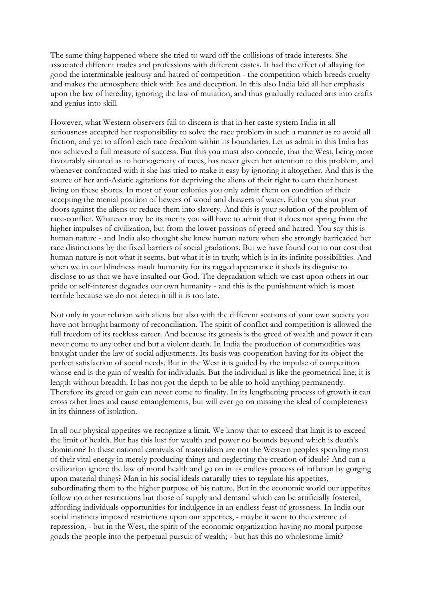The same thing happened where she tried to ward off the collisions of trade interests. She associated different trades and professions with different castes. It had the effect of allaying for good the interminable jealousy and hatred of competition - the competition which breeds cruelty and makes the atmosphere thick with lies and deception. In this also India laid all her emphasis upon the law of heredity, ignoring the law of mutation, and thus gradually reduced arts into crafts and genius into skill.

However, what Western observers fail to discern is that in her caste system India in all seriousness accepted her responsibility to solve the race problem in such a manner as to avoid all friction, and yet to afford each race freedom within its boundaries. Let us admit in this India has not achieved a full measure of success. But this you must also concede, that the West, being more favourably situated as to homogeneity of races, has never given her attention to this problem, and whenever confronted with it she has tried to make it easy by ignoring it altogether. And this is the source of her anti-Asiatic agitations for depriving the aliens of their right to earn their honest living on these shores. In most of your colonies you only admit them on condition of their accepting the menial position of hewers of wood and drawers of water. Either you shut your doors against the aliens or reduce them into slavery. And this is your solution of the problem of race-conflict. Whatever may be its merits you will have to admit that it does not spring from the higher impulses of civilization, but from the lower passions of greed and hatred. You say this is human nature - and India also thought she knew human nature when she strongly barricaded her race distinctions by the fixed barriers of social gradations. But we have found out to our cost that human nature is not what it seems, but what it is in truth; which is in its infinite possibilities. And when we in our blindness insult humanity for its ragged appearance it sheds its disguise to disclose to us that we have insulted our God. The degradation which we cast upon others in our pride or self-interest degrades our own humanity - and this is the punishment which is most terrible because we do not detect it till it is too late.

Not only in your relation with aliens but also with the different sections of your own society you have not brought harmony of reconciliation. The spirit of conflict and competition is allowed the full freedom of its reckless career. And because its genesis is the greed of wealth and power it can never come to any other end but a violent death. In India the production of commodities was brought under the law of social adjustments. Its basis was cooperation having for its object the perfect satisfaction of social needs. But in the West it is guided by the impulse of competition whose end is the gain of wealth for individuals. But the individual is like the geometrical line; it is length without breadth. It has not got the depth to be able to hold anything permanently. Therefore its greed or gain can never come to finality. In its lengthening process of growth it can cross other lines and cause entanglements, but will ever go on missing the ideal of completeness in its thinness of isolation.

In all our physical appetites we recognize a limit. We know that to exceed that limit is to exceed the limit of health. But has this lust for wealth and power no bounds beyond which is death's dominion? In these national carnivals of materialism are not the Western peoples spending most of their vital energy in merely producing things and neglecting the creation of ideals? And can a civilization ignore the law of moral health and go on in its endless process of inflation by gorging upon material things? Man in his social ideals naturally tries to regulate his appetites, subordinating them to the higher purpose of his nature. But in the economic world our appetites follow no other restrictions but those of supply and demand which can be artificially fostered, affording individuals opportunities for indulgence in an endless feast of grossness. In India our social instincts imposed restrictions upon our appetites, - maybe it went to the extreme of repression, - but in the West, the spirit of the economic organization having no moral purpose goads the people into the perpetual pursuit of wealth; - but has this no wholesome limit?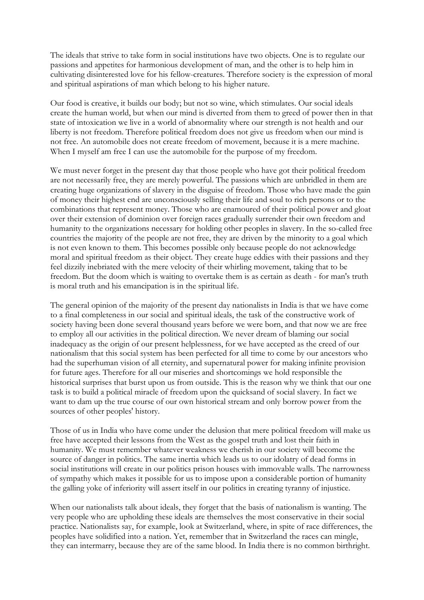The ideals that strive to take form in social institutions have two objects. One is to regulate our passions and appetites for harmonious development of man, and the other is to help him in cultivating disinterested love for his fellow-creatures. Therefore society is the expression of moral and spiritual aspirations of man which belong to his higher nature.

Our food is creative, it builds our body; but not so wine, which stimulates. Our social ideals create the human world, but when our mind is diverted from them to greed of power then in that state of intoxication we live in a world of abnormality where our strength is not health and our liberty is not freedom. Therefore political freedom does not give us freedom when our mind is not free. An automobile does not create freedom of movement, because it is a mere machine. When I myself am free I can use the automobile for the purpose of my freedom.

We must never forget in the present day that those people who have got their political freedom are not necessarily free, they are merely powerful. The passions which are unbridled in them are creating huge organizations of slavery in the disguise of freedom. Those who have made the gain of money their highest end are unconsciously selling their life and soul to rich persons or to the combinations that represent money. Those who are enamoured of their political power and gloat over their extension of dominion over foreign races gradually surrender their own freedom and humanity to the organizations necessary for holding other peoples in slavery. In the so-called free countries the majority of the people are not free, they are driven by the minority to a goal which is not even known to them. This becomes possible only because people do not acknowledge moral and spiritual freedom as their object. They create huge eddies with their passions and they feel dizzily inebriated with the mere velocity of their whirling movement, taking that to be freedom. But the doom which is waiting to overtake them is as certain as death - for man's truth is moral truth and his emancipation is in the spiritual life.

The general opinion of the majority of the present day nationalists in India is that we have come to a final completeness in our social and spiritual ideals, the task of the constructive work of society having been done several thousand years before we were born, and that now we are free to employ all our activities in the political direction. We never dream of blaming our social inadequacy as the origin of our present helplessness, for we have accepted as the creed of our nationalism that this social system has been perfected for all time to come by our ancestors who had the superhuman vision of all eternity, and supernatural power for making infinite provision for future ages. Therefore for all our miseries and shortcomings we hold responsible the historical surprises that burst upon us from outside. This is the reason why we think that our one task is to build a political miracle of freedom upon the quicksand of social slavery. In fact we want to dam up the true course of our own historical stream and only borrow power from the sources of other peoples' history.

Those of us in India who have come under the delusion that mere political freedom will make us free have accepted their lessons from the West as the gospel truth and lost their faith in humanity. We must remember whatever weakness we cherish in our society will become the source of danger in politics. The same inertia which leads us to our idolatry of dead forms in social institutions will create in our politics prison houses with immovable walls. The narrowness of sympathy which makes it possible for us to impose upon a considerable portion of humanity the galling yoke of inferiority will assert itself in our politics in creating tyranny of injustice.

When our nationalists talk about ideals, they forget that the basis of nationalism is wanting. The very people who are upholding these ideals are themselves the most conservative in their social practice. Nationalists say, for example, look at Switzerland, where, in spite of race differences, the peoples have solidified into a nation. Yet, remember that in Switzerland the races can mingle, they can intermarry, because they are of the same blood. In India there is no common birthright.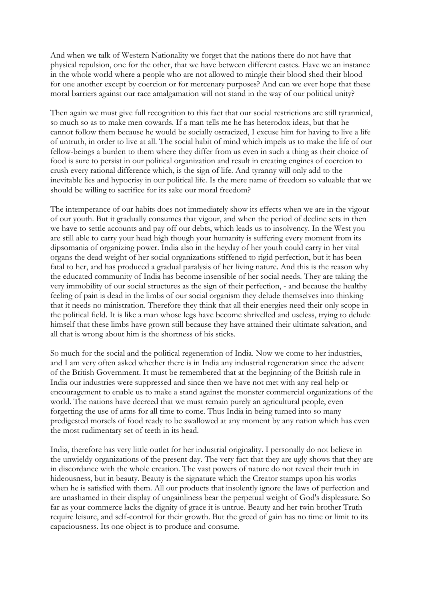And when we talk of Western Nationality we forget that the nations there do not have that physical repulsion, one for the other, that we have between different castes. Have we an instance in the whole world where a people who are not allowed to mingle their blood shed their blood for one another except by coercion or for mercenary purposes? And can we ever hope that these moral barriers against our race amalgamation will not stand in the way of our political unity?

Then again we must give full recognition to this fact that our social restrictions are still tyrannical, so much so as to make men cowards. If a man tells me he has heterodox ideas, but that he cannot follow them because he would be socially ostracized, I excuse him for having to live a life of untruth, in order to live at all. The social habit of mind which impels us to make the life of our fellow-beings a burden to them where they differ from us even in such a thing as their choice of food is sure to persist in our political organization and result in creating engines of coercion to crush every rational difference which, is the sign of life. And tyranny will only add to the inevitable lies and hypocrisy in our political life. Is the mere name of freedom so valuable that we should be willing to sacrifice for its sake our moral freedom?

The intemperance of our habits does not immediately show its effects when we are in the vigour of our youth. But it gradually consumes that vigour, and when the period of decline sets in then we have to settle accounts and pay off our debts, which leads us to insolvency. In the West you are still able to carry your head high though your humanity is suffering every moment from its dipsomania of organizing power. India also in the heyday of her youth could carry in her vital organs the dead weight of her social organizations stiffened to rigid perfection, but it has been fatal to her, and has produced a gradual paralysis of her living nature. And this is the reason why the educated community of India has become insensible of her social needs. They are taking the very immobility of our social structures as the sign of their perfection, - and because the healthy feeling of pain is dead in the limbs of our social organism they delude themselves into thinking that it needs no ministration. Therefore they think that all their energies need their only scope in the political field. It is like a man whose legs have become shrivelled and useless, trying to delude himself that these limbs have grown still because they have attained their ultimate salvation, and all that is wrong about him is the shortness of his sticks.

So much for the social and the political regeneration of India. Now we come to her industries, and I am very often asked whether there is in India any industrial regeneration since the advent of the British Government. It must be remembered that at the beginning of the British rule in India our industries were suppressed and since then we have not met with any real help or encouragement to enable us to make a stand against the monster commercial organizations of the world. The nations have decreed that we must remain purely an agricultural people, even forgetting the use of arms for all time to come. Thus India in being turned into so many predigested morsels of food ready to be swallowed at any moment by any nation which has even the most rudimentary set of teeth in its head.

India, therefore has very little outlet for her industrial originality. I personally do not believe in the unwieldy organizations of the present day. The very fact that they are ugly shows that they are in discordance with the whole creation. The vast powers of nature do not reveal their truth in hideousness, but in beauty. Beauty is the signature which the Creator stamps upon his works when he is satisfied with them. All our products that insolently ignore the laws of perfection and are unashamed in their display of ungainliness bear the perpetual weight of God's displeasure. So far as your commerce lacks the dignity of grace it is untrue. Beauty and her twin brother Truth require leisure, and self-control for their growth. But the greed of gain has no time or limit to its capaciousness. Its one object is to produce and consume.